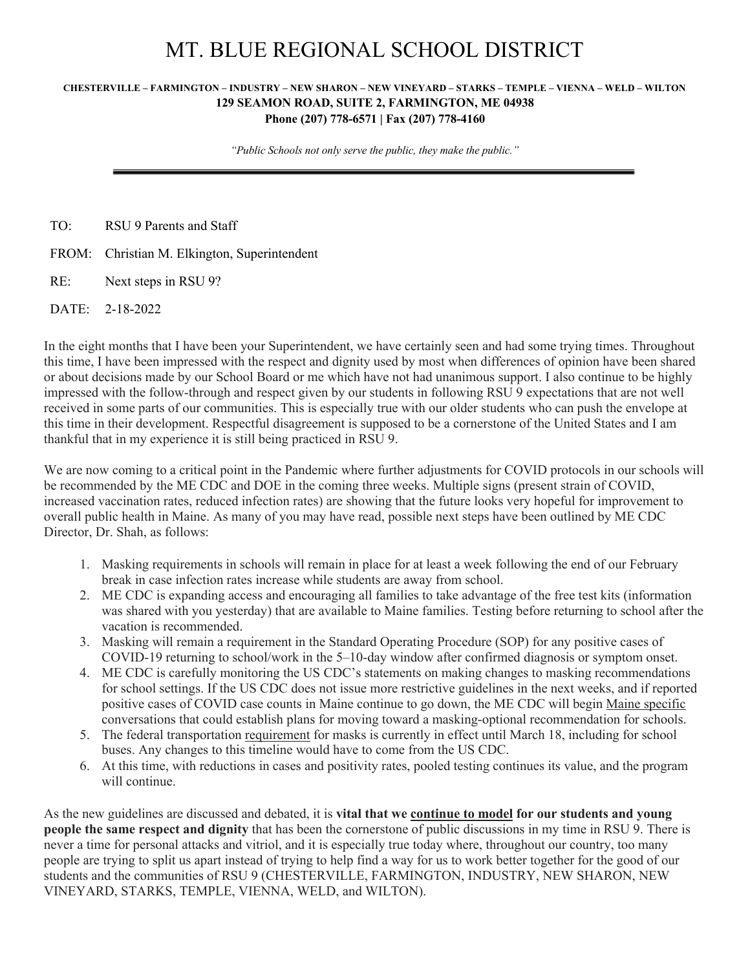## MT. BLUE REGIONAL SCHOOL DISTRICT

## **CHESTERVILLE – FARMINGTON – INDUSTRY – NEW SHARON – NEW VINEYARD – STARKS – TEMPLE – VIENNA – WELD – WILTON 129 SEAMON ROAD, SUITE 2, FARMINGTON, ME 04938 Phone (207) 778-6571 | Fax (207) 778-4160**

*"Public Schools not only serve the public, they make the public."*

TO: RSU 9 Parents and Staff

FROM: Christian M. Elkington, Superintendent

RE: Next steps in RSU 9?

DATE: 2-18-2022

In the eight months that I have been your Superintendent, we have certainly seen and had some trying times. Throughout this time, I have been impressed with the respect and dignity used by most when differences of opinion have been shared or about decisions made by our School Board or me which have not had unanimous support. I also continue to be highly impressed with the follow-through and respect given by our students in following RSU 9 expectations that are not well received in some parts of our communities. This is especially true with our older students who can push the envelope at this time in their development. Respectful disagreement is supposed to be a cornerstone of the United States and I am thankful that in my experience it is still being practiced in RSU 9.

We are now coming to a critical point in the Pandemic where further adjustments for COVID protocols in our schools will be recommended by the ME CDC and DOE in the coming three weeks. Multiple signs (present strain of COVID, increased vaccination rates, reduced infection rates) are showing that the future looks very hopeful for improvement to overall public health in Maine. As many of you may have read, possible next steps have been outlined by ME CDC Director, Dr. Shah, as follows:

- 1. Masking requirements in schools will remain in place for at least a week following the end of our February break in case infection rates increase while students are away from school.
- 2. ME CDC is expanding access and encouraging all families to take advantage of the free test kits (information was shared with you yesterday) that are available to Maine families. Testing before returning to school after the vacation is recommended.
- 3. Masking will remain a requirement in the Standard Operating Procedure (SOP) for any positive cases of COVID-19 returning to school/work in the 5–10-day window after confirmed diagnosis or symptom onset.
- 4. ME CDC is carefully monitoring the US CDC's statements on making changes to masking recommendations for school settings. If the US CDC does not issue more restrictive guidelines in the next weeks, and if reported positive cases of COVID case counts in Maine continue to go down, the ME CDC will begin Maine specific conversations that could establish plans for moving toward a masking-optional recommendation for schools.
- 5. The federal transportation requirement for masks is currently in effect until March 18, including for school buses. Any changes to this timeline would have to come from the US CDC.
- 6. At this time, with reductions in cases and positivity rates, pooled testing continues its value, and the program will continue.

As the new guidelines are discussed and debated, it is **vital that we continue to model for our students and young people the same respect and dignity** that has been the cornerstone of public discussions in my time in RSU 9. There is never a time for personal attacks and vitriol, and it is especially true today where, throughout our country, too many people are trying to split us apart instead of trying to help find a way for us to work better together for the good of our students and the communities of RSU 9 (CHESTERVILLE, FARMINGTON, INDUSTRY, NEW SHARON, NEW VINEYARD, STARKS, TEMPLE, VIENNA, WELD, and WILTON).